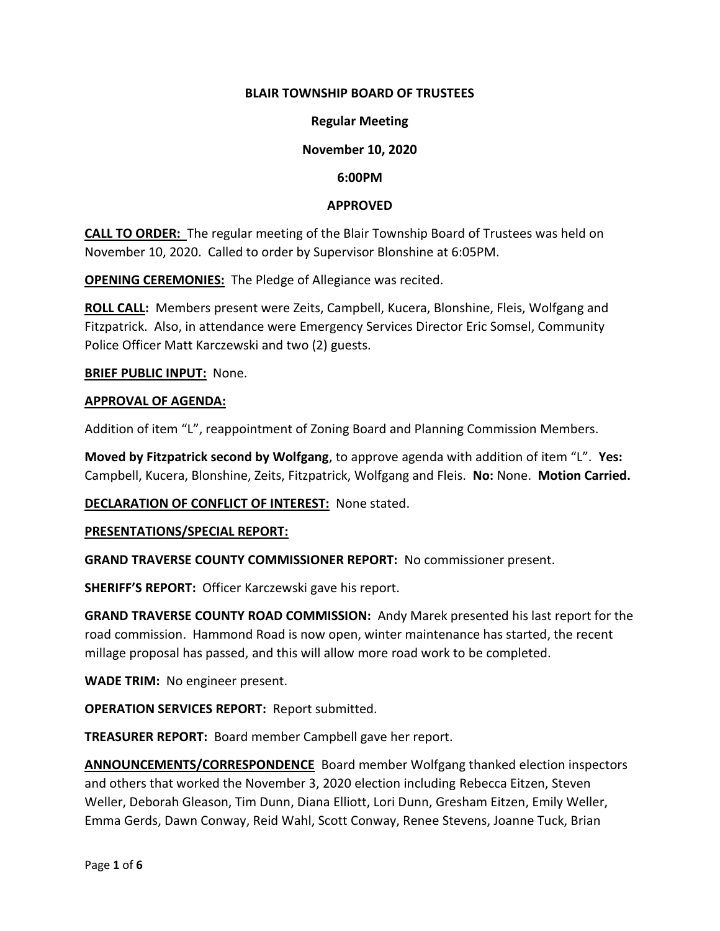#### **BLAIR TOWNSHIP BOARD OF TRUSTEES**

#### **Regular Meeting**

#### **November 10, 2020**

#### **6:00PM**

#### **APPROVED**

**CALL TO ORDER:** The regular meeting of the Blair Township Board of Trustees was held on November 10, 2020. Called to order by Supervisor Blonshine at 6:05PM.

**OPENING CEREMONIES:** The Pledge of Allegiance was recited.

**ROLL CALL:** Members present were Zeits, Campbell, Kucera, Blonshine, Fleis, Wolfgang and Fitzpatrick. Also, in attendance were Emergency Services Director Eric Somsel, Community Police Officer Matt Karczewski and two (2) guests.

**BRIEF PUBLIC INPUT:** None.

#### **APPROVAL OF AGENDA:**

Addition of item "L", reappointment of Zoning Board and Planning Commission Members.

**Moved by Fitzpatrick second by Wolfgang**, to approve agenda with addition of item "L". **Yes:** Campbell, Kucera, Blonshine, Zeits, Fitzpatrick, Wolfgang and Fleis. **No:** None. **Motion Carried.**

**DECLARATION OF CONFLICT OF INTEREST:** None stated.

**PRESENTATIONS/SPECIAL REPORT:**

**GRAND TRAVERSE COUNTY COMMISSIONER REPORT:** No commissioner present.

**SHERIFF'S REPORT:** Officer Karczewski gave his report.

**GRAND TRAVERSE COUNTY ROAD COMMISSION:** Andy Marek presented his last report for the road commission. Hammond Road is now open, winter maintenance has started, the recent millage proposal has passed, and this will allow more road work to be completed.

**WADE TRIM:** No engineer present.

**OPERATION SERVICES REPORT:** Report submitted.

**TREASURER REPORT:** Board member Campbell gave her report.

**ANNOUNCEMENTS/CORRESPONDENCE** Board member Wolfgang thanked election inspectors and others that worked the November 3, 2020 election including Rebecca Eitzen, Steven Weller, Deborah Gleason, Tim Dunn, Diana Elliott, Lori Dunn, Gresham Eitzen, Emily Weller, Emma Gerds, Dawn Conway, Reid Wahl, Scott Conway, Renee Stevens, Joanne Tuck, Brian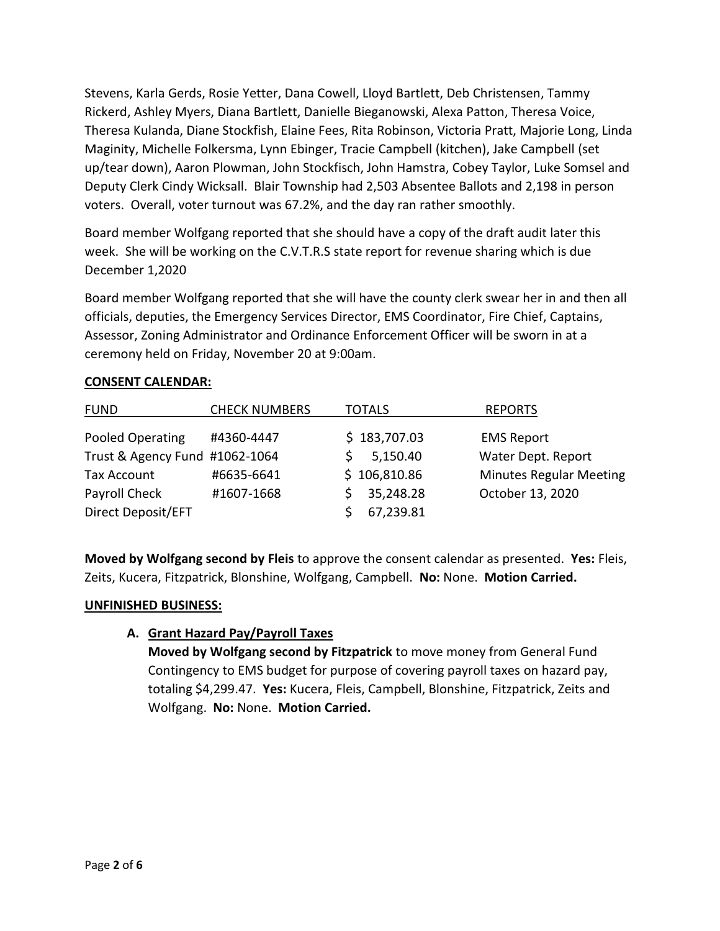Stevens, Karla Gerds, Rosie Yetter, Dana Cowell, Lloyd Bartlett, Deb Christensen, Tammy Rickerd, Ashley Myers, Diana Bartlett, Danielle Bieganowski, Alexa Patton, Theresa Voice, Theresa Kulanda, Diane Stockfish, Elaine Fees, Rita Robinson, Victoria Pratt, Majorie Long, Linda Maginity, Michelle Folkersma, Lynn Ebinger, Tracie Campbell (kitchen), Jake Campbell (set up/tear down), Aaron Plowman, John Stockfisch, John Hamstra, Cobey Taylor, Luke Somsel and Deputy Clerk Cindy Wicksall. Blair Township had 2,503 Absentee Ballots and 2,198 in person voters. Overall, voter turnout was 67.2%, and the day ran rather smoothly.

Board member Wolfgang reported that she should have a copy of the draft audit later this week. She will be working on the C.V.T.R.S state report for revenue sharing which is due December 1,2020

Board member Wolfgang reported that she will have the county clerk swear her in and then all officials, deputies, the Emergency Services Director, EMS Coordinator, Fire Chief, Captains, Assessor, Zoning Administrator and Ordinance Enforcement Officer will be sworn in at a ceremony held on Friday, November 20 at 9:00am.

# **CONSENT CALENDAR:**

| <b>FUND</b>                    | <b>CHECK NUMBERS</b> | <b>TOTALS</b> | <b>REPORTS</b>                 |
|--------------------------------|----------------------|---------------|--------------------------------|
| Pooled Operating               | #4360-4447           | \$183,707.03  | <b>EMS Report</b>              |
| Trust & Agency Fund #1062-1064 |                      | 5,150.40      | Water Dept. Report             |
| Tax Account                    | #6635-6641           | \$106,810.86  | <b>Minutes Regular Meeting</b> |
| Payroll Check                  | #1607-1668           | 35,248.28     | October 13, 2020               |
| Direct Deposit/EFT             |                      | 67,239.81     |                                |

**Moved by Wolfgang second by Fleis** to approve the consent calendar as presented. **Yes:** Fleis, Zeits, Kucera, Fitzpatrick, Blonshine, Wolfgang, Campbell. **No:** None. **Motion Carried.**

### **UNFINISHED BUSINESS:**

# **A. Grant Hazard Pay/Payroll Taxes**

**Moved by Wolfgang second by Fitzpatrick** to move money from General Fund Contingency to EMS budget for purpose of covering payroll taxes on hazard pay, totaling \$4,299.47. **Yes:** Kucera, Fleis, Campbell, Blonshine, Fitzpatrick, Zeits and Wolfgang. **No:** None. **Motion Carried.**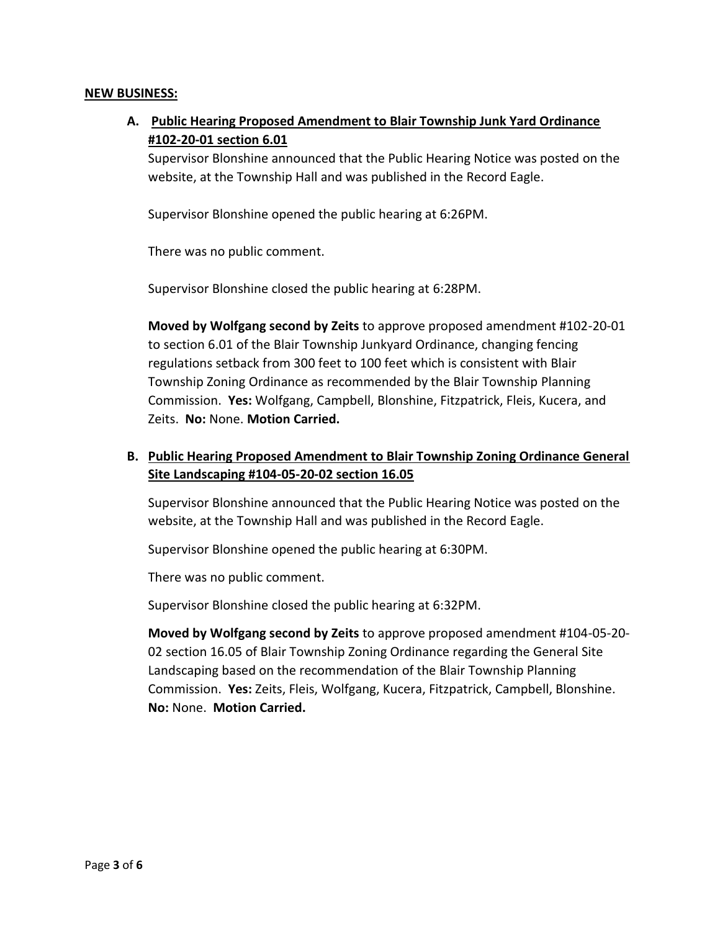#### **NEW BUSINESS:**

**A. Public Hearing Proposed Amendment to Blair Township Junk Yard Ordinance #102-20-01 section 6.01**

Supervisor Blonshine announced that the Public Hearing Notice was posted on the website, at the Township Hall and was published in the Record Eagle.

Supervisor Blonshine opened the public hearing at 6:26PM.

There was no public comment.

Supervisor Blonshine closed the public hearing at 6:28PM.

**Moved by Wolfgang second by Zeits** to approve proposed amendment #102-20-01 to section 6.01 of the Blair Township Junkyard Ordinance, changing fencing regulations setback from 300 feet to 100 feet which is consistent with Blair Township Zoning Ordinance as recommended by the Blair Township Planning Commission. **Yes:** Wolfgang, Campbell, Blonshine, Fitzpatrick, Fleis, Kucera, and Zeits. **No:** None. **Motion Carried.**

# **B. Public Hearing Proposed Amendment to Blair Township Zoning Ordinance General Site Landscaping #104-05-20-02 section 16.05**

Supervisor Blonshine announced that the Public Hearing Notice was posted on the website, at the Township Hall and was published in the Record Eagle.

Supervisor Blonshine opened the public hearing at 6:30PM.

There was no public comment.

Supervisor Blonshine closed the public hearing at 6:32PM.

**Moved by Wolfgang second by Zeits** to approve proposed amendment #104-05-20- 02 section 16.05 of Blair Township Zoning Ordinance regarding the General Site Landscaping based on the recommendation of the Blair Township Planning Commission. **Yes:** Zeits, Fleis, Wolfgang, Kucera, Fitzpatrick, Campbell, Blonshine. **No:** None. **Motion Carried.**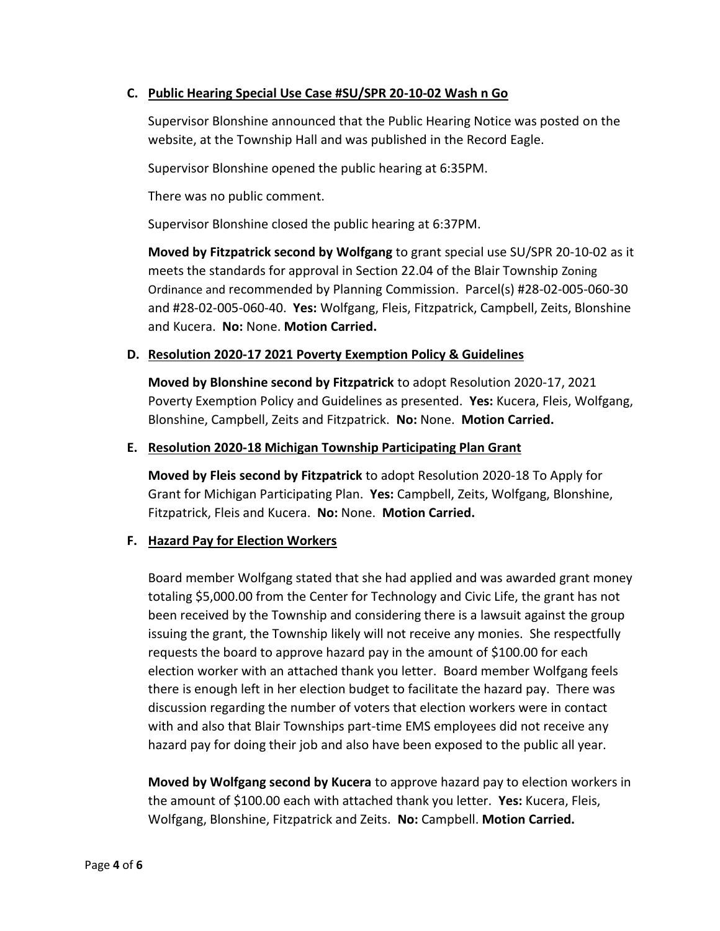## **C. Public Hearing Special Use Case #SU/SPR 20-10-02 Wash n Go**

Supervisor Blonshine announced that the Public Hearing Notice was posted on the website, at the Township Hall and was published in the Record Eagle.

Supervisor Blonshine opened the public hearing at 6:35PM.

There was no public comment.

Supervisor Blonshine closed the public hearing at 6:37PM.

**Moved by Fitzpatrick second by Wolfgang** to grant special use SU/SPR 20-10-02 as it meets the standards for approval in Section 22.04 of the Blair Township Zoning Ordinance and recommended by Planning Commission. Parcel(s) #28-02-005-060-30 and #28-02-005-060-40. **Yes:** Wolfgang, Fleis, Fitzpatrick, Campbell, Zeits, Blonshine and Kucera. **No:** None. **Motion Carried.**

# **D. Resolution 2020-17 2021 Poverty Exemption Policy & Guidelines**

**Moved by Blonshine second by Fitzpatrick** to adopt Resolution 2020-17, 2021 Poverty Exemption Policy and Guidelines as presented. **Yes:** Kucera, Fleis, Wolfgang, Blonshine, Campbell, Zeits and Fitzpatrick. **No:** None. **Motion Carried.**

### **E. Resolution 2020-18 Michigan Township Participating Plan Grant**

**Moved by Fleis second by Fitzpatrick** to adopt Resolution 2020-18 To Apply for Grant for Michigan Participating Plan. **Yes:** Campbell, Zeits, Wolfgang, Blonshine, Fitzpatrick, Fleis and Kucera. **No:** None. **Motion Carried.**

### **F. Hazard Pay for Election Workers**

Board member Wolfgang stated that she had applied and was awarded grant money totaling \$5,000.00 from the Center for Technology and Civic Life, the grant has not been received by the Township and considering there is a lawsuit against the group issuing the grant, the Township likely will not receive any monies. She respectfully requests the board to approve hazard pay in the amount of \$100.00 for each election worker with an attached thank you letter. Board member Wolfgang feels there is enough left in her election budget to facilitate the hazard pay. There was discussion regarding the number of voters that election workers were in contact with and also that Blair Townships part-time EMS employees did not receive any hazard pay for doing their job and also have been exposed to the public all year.

**Moved by Wolfgang second by Kucera** to approve hazard pay to election workers in the amount of \$100.00 each with attached thank you letter. **Yes:** Kucera, Fleis, Wolfgang, Blonshine, Fitzpatrick and Zeits. **No:** Campbell. **Motion Carried.**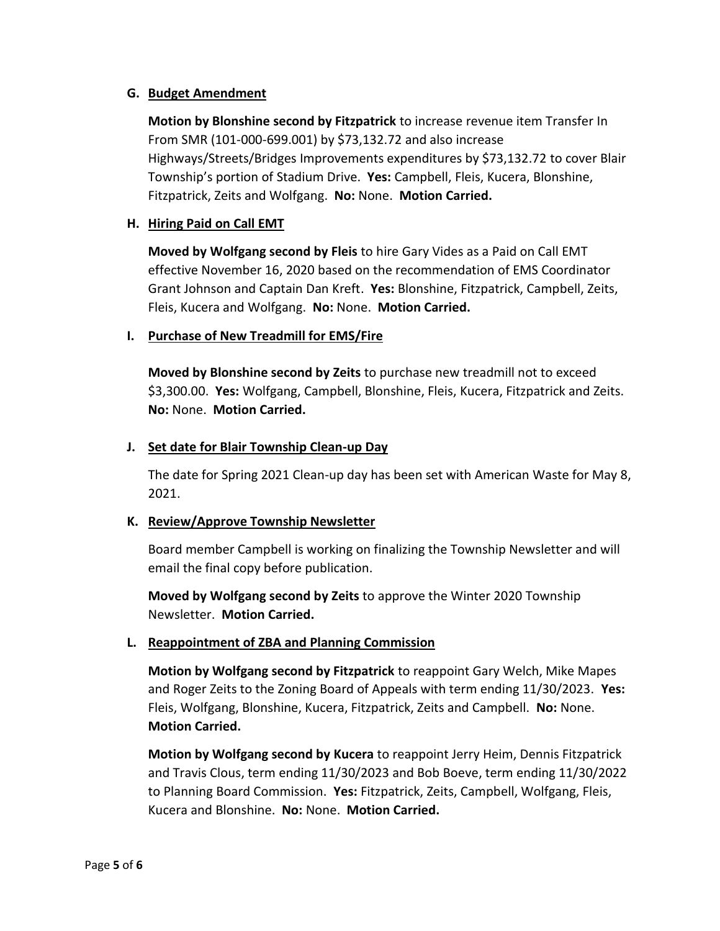## **G. Budget Amendment**

**Motion by Blonshine second by Fitzpatrick** to increase revenue item Transfer In From SMR (101-000-699.001) by \$73,132.72 and also increase Highways/Streets/Bridges Improvements expenditures by \$73,132.72 to cover Blair Township's portion of Stadium Drive. **Yes:** Campbell, Fleis, Kucera, Blonshine, Fitzpatrick, Zeits and Wolfgang. **No:** None. **Motion Carried.**

# **H. Hiring Paid on Call EMT**

**Moved by Wolfgang second by Fleis** to hire Gary Vides as a Paid on Call EMT effective November 16, 2020 based on the recommendation of EMS Coordinator Grant Johnson and Captain Dan Kreft. **Yes:** Blonshine, Fitzpatrick, Campbell, Zeits, Fleis, Kucera and Wolfgang. **No:** None. **Motion Carried.**

### **I. Purchase of New Treadmill for EMS/Fire**

**Moved by Blonshine second by Zeits** to purchase new treadmill not to exceed \$3,300.00. **Yes:** Wolfgang, Campbell, Blonshine, Fleis, Kucera, Fitzpatrick and Zeits. **No:** None. **Motion Carried.**

### **J. Set date for Blair Township Clean-up Day**

The date for Spring 2021 Clean-up day has been set with American Waste for May 8, 2021.

### **K. Review/Approve Township Newsletter**

Board member Campbell is working on finalizing the Township Newsletter and will email the final copy before publication.

**Moved by Wolfgang second by Zeits** to approve the Winter 2020 Township Newsletter. **Motion Carried.**

# **L. Reappointment of ZBA and Planning Commission**

**Motion by Wolfgang second by Fitzpatrick** to reappoint Gary Welch, Mike Mapes and Roger Zeits to the Zoning Board of Appeals with term ending 11/30/2023. **Yes:**  Fleis, Wolfgang, Blonshine, Kucera, Fitzpatrick, Zeits and Campbell. **No:** None. **Motion Carried.**

**Motion by Wolfgang second by Kucera** to reappoint Jerry Heim, Dennis Fitzpatrick and Travis Clous, term ending 11/30/2023 and Bob Boeve, term ending 11/30/2022 to Planning Board Commission. **Yes:** Fitzpatrick, Zeits, Campbell, Wolfgang, Fleis, Kucera and Blonshine. **No:** None. **Motion Carried.**